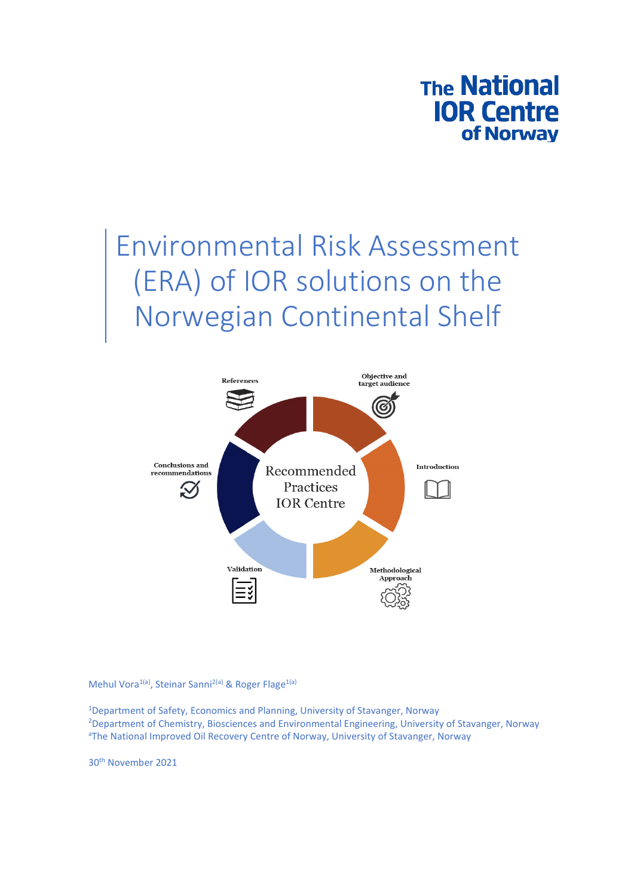

# Environmental Risk Assessment (ERA) of IOR solutions on the Norwegian Continental Shelf



Mehul Vora<sup>1(a)</sup>, Steinar Sanni<sup>2(a)</sup> & Roger Flage<sup>1(a)</sup>

<sup>1</sup>Department of Safety, Economics and Planning, University of Stavanger, Norway 2 Department of Chemistry, Biosciences and Environmental Engineering, University of Stavanger, Norway aThe National Improved Oil Recovery Centre of Norway, University of Stavanger, Norway

30th November 2021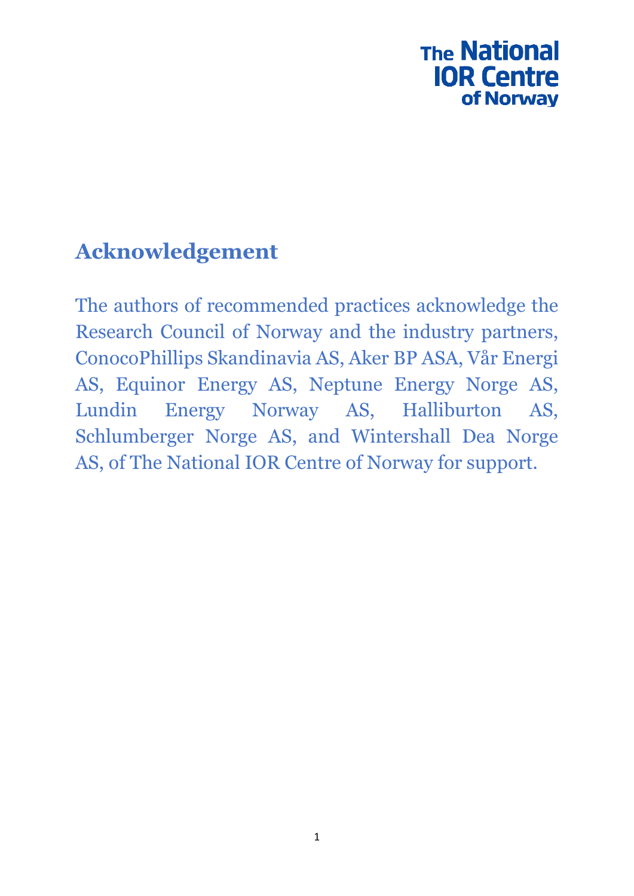# **The National IOR Centre** of Norway

# **Acknowledgement**

The authors of recommended practices acknowledge the Research Council of Norway and the industry partners, ConocoPhillips Skandinavia AS, Aker BP ASA, Vår Energi AS, Equinor Energy AS, Neptune Energy Norge AS, Lundin Energy Norway AS, Halliburton AS, Schlumberger Norge AS, and Wintershall Dea Norge AS, of The National IOR Centre of Norway for support.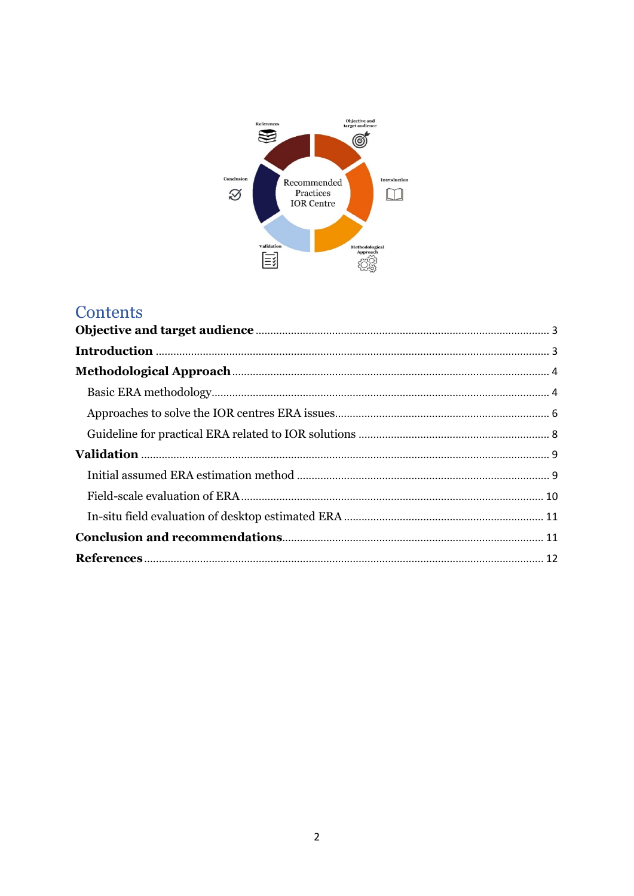

# Contents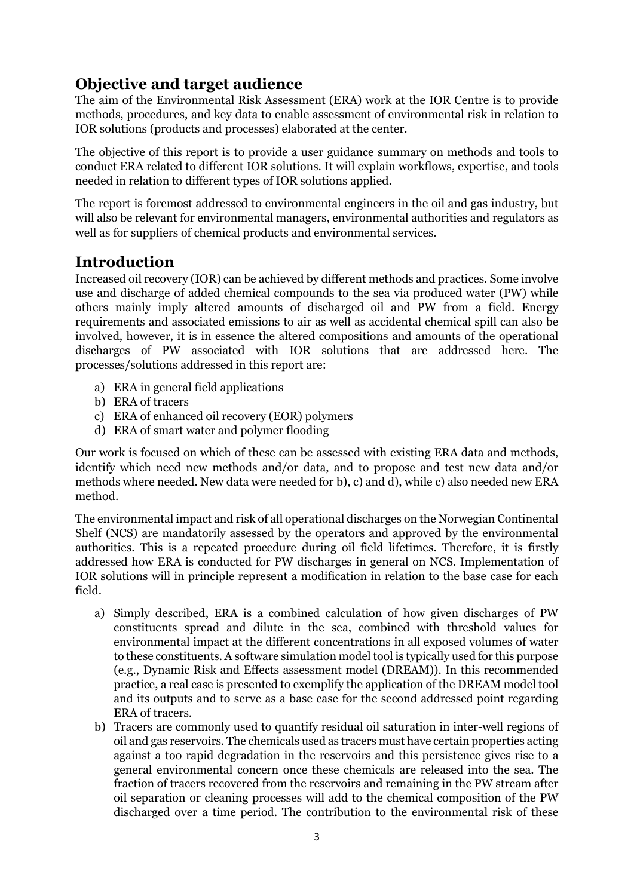# **Objective and target audience**

The aim of the Environmental Risk Assessment (ERA) work at the IOR Centre is to provide methods, procedures, and key data to enable assessment of environmental risk in relation to IOR solutions (products and processes) elaborated at the center.

The objective of this report is to provide a user guidance summary on methods and tools to conduct ERA related to different IOR solutions. It will explain workflows, expertise, and tools needed in relation to different types of IOR solutions applied.

The report is foremost addressed to environmental engineers in the oil and gas industry, but will also be relevant for environmental managers, environmental authorities and regulators as well as for suppliers of chemical products and environmental services.

### **Introduction**

Increased oil recovery (IOR) can be achieved by different methods and practices. Some involve use and discharge of added chemical compounds to the sea via produced water (PW) while others mainly imply altered amounts of discharged oil and PW from a field. Energy requirements and associated emissions to air as well as accidental chemical spill can also be involved, however, it is in essence the altered compositions and amounts of the operational discharges of PW associated with IOR solutions that are addressed here. The processes/solutions addressed in this report are:

- a) ERA in general field applications
- b) ERA of tracers
- c) ERA of enhanced oil recovery (EOR) polymers
- d) ERA of smart water and polymer flooding

Our work is focused on which of these can be assessed with existing ERA data and methods, identify which need new methods and/or data, and to propose and test new data and/or methods where needed. New data were needed for b), c) and d), while c) also needed new ERA method.

The environmental impact and risk of all operational discharges on the Norwegian Continental Shelf (NCS) are mandatorily assessed by the operators and approved by the environmental authorities. This is a repeated procedure during oil field lifetimes. Therefore, it is firstly addressed how ERA is conducted for PW discharges in general on NCS. Implementation of IOR solutions will in principle represent a modification in relation to the base case for each field.

- a) Simply described, ERA is a combined calculation of how given discharges of PW constituents spread and dilute in the sea, combined with threshold values for environmental impact at the different concentrations in all exposed volumes of water to these constituents. A software simulation model tool is typically used for this purpose (e.g., Dynamic Risk and Effects assessment model (DREAM)). In this recommended practice, a real case is presented to exemplify the application of the DREAM model tool and its outputs and to serve as a base case for the second addressed point regarding ERA of tracers.
- b) Tracers are commonly used to quantify residual oil saturation in inter-well regions of oil and gas reservoirs. The chemicals used as tracers must have certain properties acting against a too rapid degradation in the reservoirs and this persistence gives rise to a general environmental concern once these chemicals are released into the sea. The fraction of tracers recovered from the reservoirs and remaining in the PW stream after oil separation or cleaning processes will add to the chemical composition of the PW discharged over a time period. The contribution to the environmental risk of these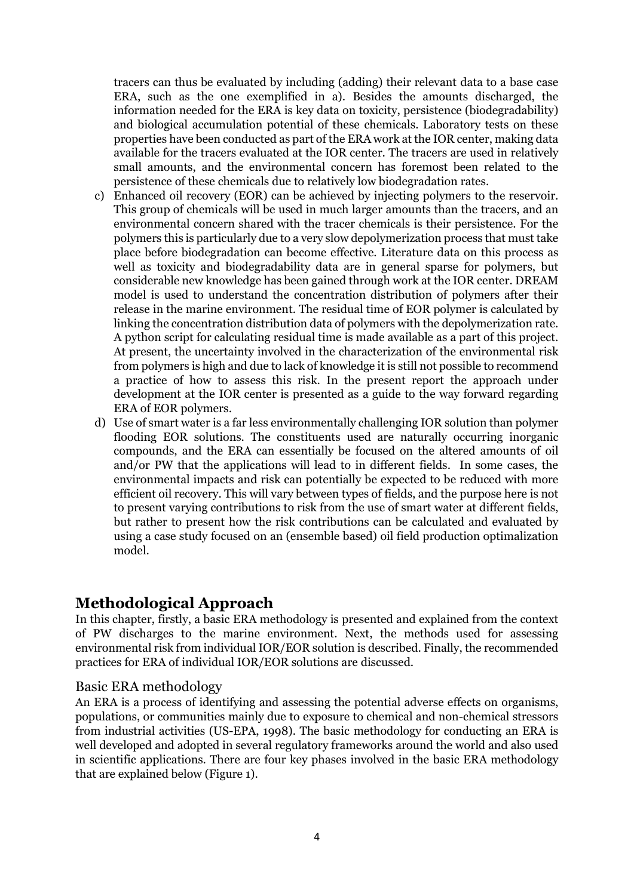tracers can thus be evaluated by including (adding) their relevant data to a base case ERA, such as the one exemplified in a). Besides the amounts discharged, the information needed for the ERA is key data on toxicity, persistence (biodegradability) and biological accumulation potential of these chemicals. Laboratory tests on these properties have been conducted as part of the ERA work at the IOR center, making data available for the tracers evaluated at the IOR center. The tracers are used in relatively small amounts, and the environmental concern has foremost been related to the persistence of these chemicals due to relatively low biodegradation rates.

- c) Enhanced oil recovery (EOR) can be achieved by injecting polymers to the reservoir. This group of chemicals will be used in much larger amounts than the tracers, and an environmental concern shared with the tracer chemicals is their persistence. For the polymers this is particularly due to a very slow depolymerization process that must take place before biodegradation can become effective. Literature data on this process as well as toxicity and biodegradability data are in general sparse for polymers, but considerable new knowledge has been gained through work at the IOR center. DREAM model is used to understand the concentration distribution of polymers after their release in the marine environment. The residual time of EOR polymer is calculated by linking the concentration distribution data of polymers with the depolymerization rate. A python script for calculating residual time is made available as a part of this project. At present, the uncertainty involved in the characterization of the environmental risk from polymers is high and due to lack of knowledge it is still not possible to recommend a practice of how to assess this risk. In the present report the approach under development at the IOR center is presented as a guide to the way forward regarding ERA of EOR polymers.
- d) Use of smart water is a far less environmentally challenging IOR solution than polymer flooding EOR solutions. The constituents used are naturally occurring inorganic compounds, and the ERA can essentially be focused on the altered amounts of oil and/or PW that the applications will lead to in different fields. In some cases, the environmental impacts and risk can potentially be expected to be reduced with more efficient oil recovery. This will vary between types of fields, and the purpose here is not to present varying contributions to risk from the use of smart water at different fields, but rather to present how the risk contributions can be calculated and evaluated by using a case study focused on an (ensemble based) oil field production optimalization model.

#### **Methodological Approach**

In this chapter, firstly, a basic ERA methodology is presented and explained from the context of PW discharges to the marine environment. Next, the methods used for assessing environmental risk from individual IOR/EOR solution is described. Finally, the recommended practices for ERA of individual IOR/EOR solutions are discussed.

#### Basic ERA methodology

An ERA is a process of identifying and assessing the potential adverse effects on organisms, populations, or communities mainly due to exposure to chemical and non-chemical stressors from industrial activities (US-EPA, 1998). The basic methodology for conducting an ERA is well developed and adopted in several regulatory frameworks around the world and also used in scientific applications. There are four key phases involved in the basic ERA methodology that are explained below (Figure 1).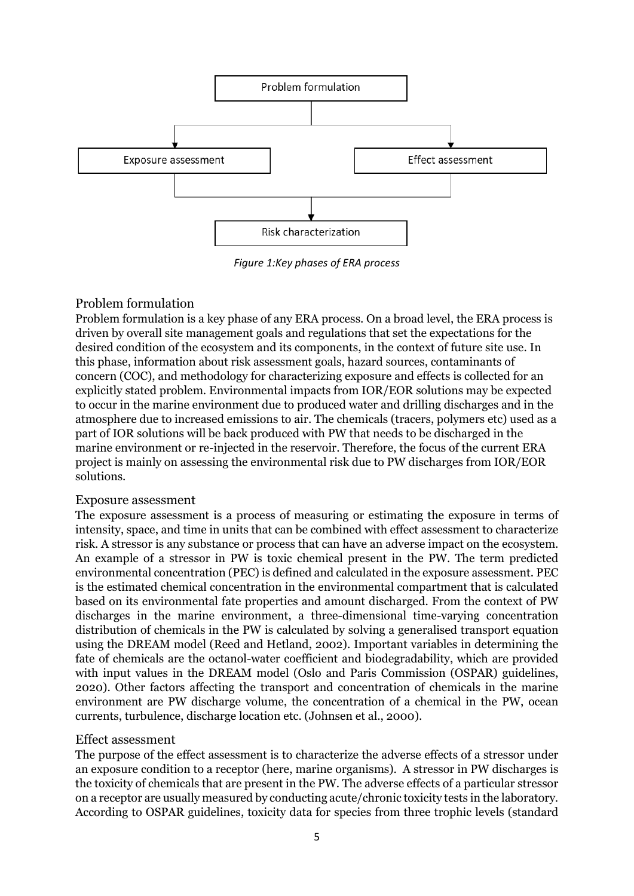

*Figure 1:Key phases of ERA process*

#### Problem formulation

Problem formulation is a key phase of any ERA process. On a broad level, the ERA process is driven by overall site management goals and regulations that set the expectations for the desired condition of the ecosystem and its components, in the context of future site use. In this phase, information about risk assessment goals, hazard sources, contaminants of concern (COC), and methodology for characterizing exposure and effects is collected for an explicitly stated problem. Environmental impacts from IOR/EOR solutions may be expected to occur in the marine environment due to produced water and drilling discharges and in the atmosphere due to increased emissions to air. The chemicals (tracers, polymers etc) used as a part of IOR solutions will be back produced with PW that needs to be discharged in the marine environment or re-injected in the reservoir. Therefore, the focus of the current ERA project is mainly on assessing the environmental risk due to PW discharges from IOR/EOR solutions.

#### Exposure assessment

The exposure assessment is a process of measuring or estimating the exposure in terms of intensity, space, and time in units that can be combined with effect assessment to characterize risk. A stressor is any substance or process that can have an adverse impact on the ecosystem. An example of a stressor in PW is toxic chemical present in the PW. The term predicted environmental concentration (PEC) is defined and calculated in the exposure assessment. PEC is the estimated chemical concentration in the environmental compartment that is calculated based on its environmental fate properties and amount discharged. From the context of PW discharges in the marine environment, a three-dimensional time-varying concentration distribution of chemicals in the PW is calculated by solving a generalised transport equation using the DREAM model (Reed and Hetland, 2002). Important variables in determining the fate of chemicals are the octanol-water coefficient and biodegradability, which are provided with input values in the DREAM model (Oslo and Paris Commission (OSPAR) guidelines, 2020). Other factors affecting the transport and concentration of chemicals in the marine environment are PW discharge volume, the concentration of a chemical in the PW, ocean currents, turbulence, discharge location etc. (Johnsen et al., 2000).

#### Effect assessment

The purpose of the effect assessment is to characterize the adverse effects of a stressor under an exposure condition to a receptor (here, marine organisms). A stressor in PW discharges is the toxicity of chemicals that are present in the PW. The adverse effects of a particular stressor on a receptor are usually measured by conducting acute/chronic toxicity tests in the laboratory. According to OSPAR guidelines, toxicity data for species from three trophic levels (standard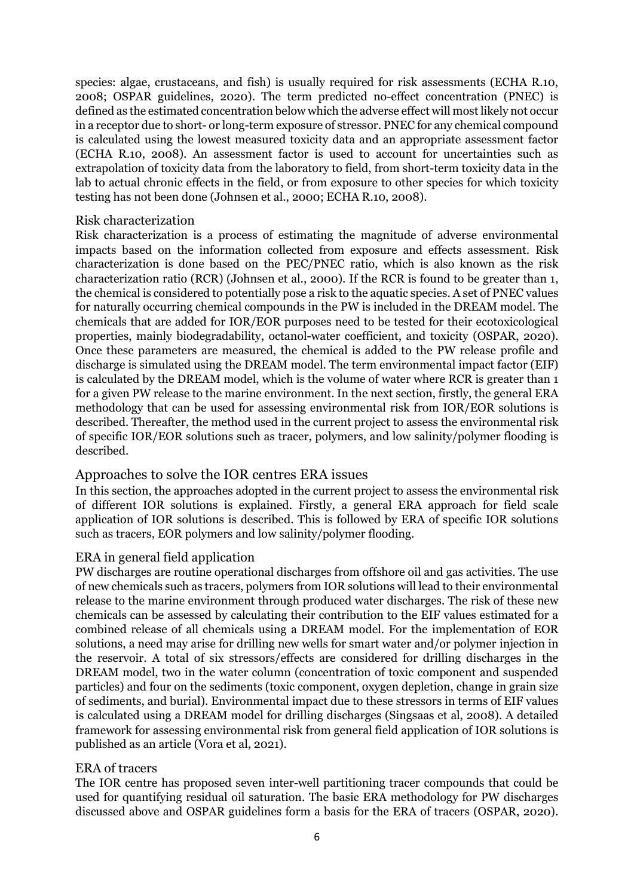species: algae, crustaceans, and fish) is usually required for risk assessments (ECHA R.10, 2008; OSPAR guidelines, 2020). The term predicted no-effect concentration (PNEC) is defined as the estimated concentration below which the adverse effect will most likely not occur in a receptor due to short- or long-term exposure of stressor. PNEC for any chemical compound is calculated using the lowest measured toxicity data and an appropriate assessment factor (ECHA R.10, 2008). An assessment factor is used to account for uncertainties such as extrapolation of toxicity data from the laboratory to field, from short-term toxicity data in the lab to actual chronic effects in the field, or from exposure to other species for which toxicity testing has not been done (Johnsen et al., 2000; ECHA R.10, 2008).

#### Risk characterization

Risk characterization is a process of estimating the magnitude of adverse environmental impacts based on the information collected from exposure and effects assessment. Risk characterization is done based on the PEC/PNEC ratio, which is also known as the risk characterization ratio (RCR) (Johnsen et al., 2000). If the RCR is found to be greater than 1, the chemical is considered to potentially pose a risk to the aquatic species. A set of PNEC values for naturally occurring chemical compounds in the PW is included in the DREAM model. The chemicals that are added for IOR/EOR purposes need to be tested for their ecotoxicological properties, mainly biodegradability, octanol-water coefficient, and toxicity (OSPAR, 2020). Once these parameters are measured, the chemical is added to the PW release profile and discharge is simulated using the DREAM model. The term environmental impact factor (EIF) is calculated by the DREAM model, which is the volume of water where RCR is greater than 1 for a given PW release to the marine environment. In the next section, firstly, the general ERA methodology that can be used for assessing environmental risk from IOR/EOR solutions is described. Thereafter, the method used in the current project to assess the environmental risk of specific IOR/EOR solutions such as tracer, polymers, and low salinity/polymer flooding is described.

#### Approaches to solve the IOR centres ERA issues

In this section, the approaches adopted in the current project to assess the environmental risk of different IOR solutions is explained. Firstly, a general ERA approach for field scale application of IOR solutions is described. This is followed by ERA of specific IOR solutions such as tracers, EOR polymers and low salinity/polymer flooding.

#### ERA in general field application

PW discharges are routine operational discharges from offshore oil and gas activities. The use of new chemicals such as tracers, polymers from IOR solutions will lead to their environmental release to the marine environment through produced water discharges. The risk of these new chemicals can be assessed by calculating their contribution to the EIF values estimated for a combined release of all chemicals using a DREAM model. For the implementation of EOR solutions, a need may arise for drilling new wells for smart water and/or polymer injection in the reservoir. A total of six stressors/effects are considered for drilling discharges in the DREAM model, two in the water column (concentration of toxic component and suspended particles) and four on the sediments (toxic component, oxygen depletion, change in grain size of sediments, and burial). Environmental impact due to these stressors in terms of EIF values is calculated using a DREAM model for drilling discharges (Singsaas et al, 2008). A detailed framework for assessing environmental risk from general field application of IOR solutions is published as an article (Vora et al, 2021).

#### ERA of tracers

The IOR centre has proposed seven inter-well partitioning tracer compounds that could be used for quantifying residual oil saturation. The basic ERA methodology for PW discharges discussed above and OSPAR guidelines form a basis for the ERA of tracers (OSPAR, 2020).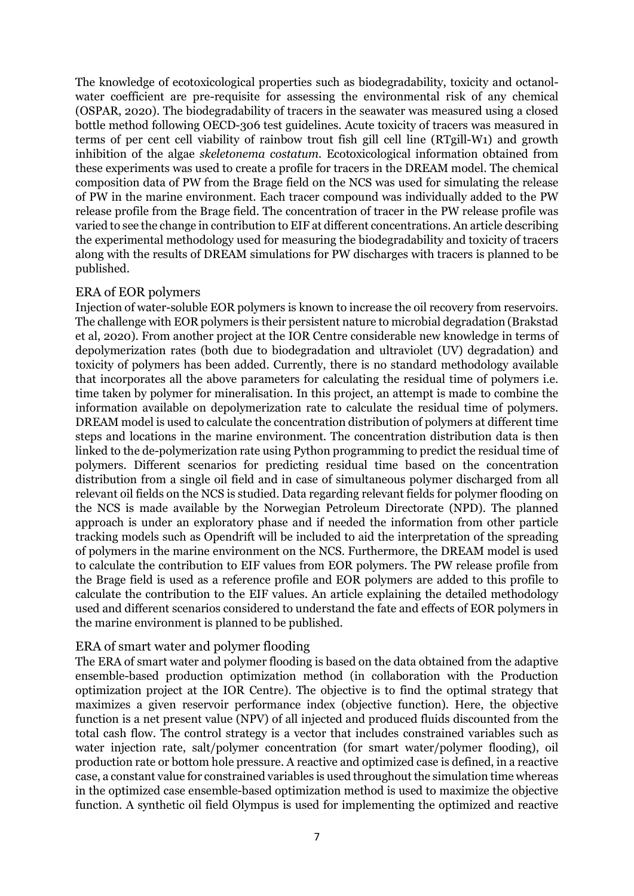The knowledge of ecotoxicological properties such as biodegradability, toxicity and octanolwater coefficient are pre-requisite for assessing the environmental risk of any chemical (OSPAR, 2020). The biodegradability of tracers in the seawater was measured using a closed bottle method following OECD-306 test guidelines. Acute toxicity of tracers was measured in terms of per cent cell viability of rainbow trout fish gill cell line (RTgill-W1) and growth inhibition of the algae *skeletonema costatum.* Ecotoxicological information obtained from these experiments was used to create a profile for tracers in the DREAM model. The chemical composition data of PW from the Brage field on the NCS was used for simulating the release of PW in the marine environment. Each tracer compound was individually added to the PW release profile from the Brage field. The concentration of tracer in the PW release profile was varied to see the change in contribution to EIF at different concentrations. An article describing the experimental methodology used for measuring the biodegradability and toxicity of tracers along with the results of DREAM simulations for PW discharges with tracers is planned to be published.

#### ERA of EOR polymers

Injection of water-soluble EOR polymers is known to increase the oil recovery from reservoirs. The challenge with EOR polymers is their persistent nature to microbial degradation (Brakstad et al, 2020). From another project at the IOR Centre considerable new knowledge in terms of depolymerization rates (both due to biodegradation and ultraviolet (UV) degradation) and toxicity of polymers has been added. Currently, there is no standard methodology available that incorporates all the above parameters for calculating the residual time of polymers i.e. time taken by polymer for mineralisation. In this project, an attempt is made to combine the information available on depolymerization rate to calculate the residual time of polymers. DREAM model is used to calculate the concentration distribution of polymers at different time steps and locations in the marine environment. The concentration distribution data is then linked to the de-polymerization rate using Python programming to predict the residual time of polymers. Different scenarios for predicting residual time based on the concentration distribution from a single oil field and in case of simultaneous polymer discharged from all relevant oil fields on the NCS is studied. Data regarding relevant fields for polymer flooding on the NCS is made available by the Norwegian Petroleum Directorate (NPD). The planned approach is under an exploratory phase and if needed the information from other particle tracking models such as Opendrift will be included to aid the interpretation of the spreading of polymers in the marine environment on the NCS. Furthermore, the DREAM model is used to calculate the contribution to EIF values from EOR polymers. The PW release profile from the Brage field is used as a reference profile and EOR polymers are added to this profile to calculate the contribution to the EIF values. An article explaining the detailed methodology used and different scenarios considered to understand the fate and effects of EOR polymers in the marine environment is planned to be published.

#### ERA of smart water and polymer flooding

The ERA of smart water and polymer flooding is based on the data obtained from the adaptive ensemble-based production optimization method (in collaboration with the Production optimization project at the IOR Centre). The objective is to find the optimal strategy that maximizes a given reservoir performance index (objective function). Here, the objective function is a net present value (NPV) of all injected and produced fluids discounted from the total cash flow. The control strategy is a vector that includes constrained variables such as water injection rate, salt/polymer concentration (for smart water/polymer flooding), oil production rate or bottom hole pressure. A reactive and optimized case is defined, in a reactive case, a constant value for constrained variables is used throughout the simulation time whereas in the optimized case ensemble-based optimization method is used to maximize the objective function. A synthetic oil field Olympus is used for implementing the optimized and reactive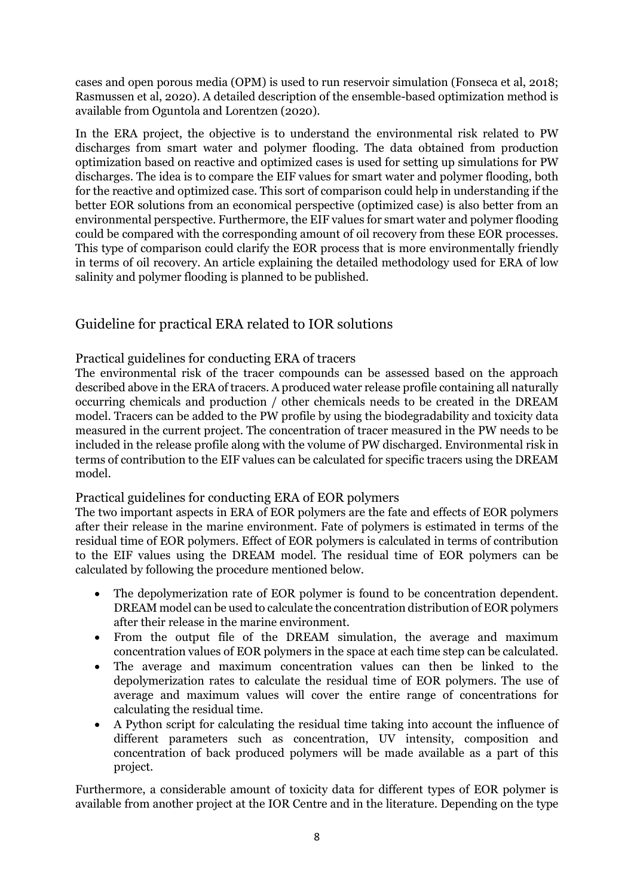cases and open porous media (OPM) is used to run reservoir simulation (Fonseca et al, 2018; Rasmussen et al, 2020). A detailed description of the ensemble-based optimization method is available from Oguntola and Lorentzen (2020).

In the ERA project, the objective is to understand the environmental risk related to PW discharges from smart water and polymer flooding. The data obtained from production optimization based on reactive and optimized cases is used for setting up simulations for PW discharges. The idea is to compare the EIF values for smart water and polymer flooding, both for the reactive and optimized case. This sort of comparison could help in understanding if the better EOR solutions from an economical perspective (optimized case) is also better from an environmental perspective. Furthermore, the EIF values for smart water and polymer flooding could be compared with the corresponding amount of oil recovery from these EOR processes. This type of comparison could clarify the EOR process that is more environmentally friendly in terms of oil recovery. An article explaining the detailed methodology used for ERA of low salinity and polymer flooding is planned to be published.

#### Guideline for practical ERA related to IOR solutions

#### Practical guidelines for conducting ERA of tracers

The environmental risk of the tracer compounds can be assessed based on the approach described above in the ERA of tracers. A produced water release profile containing all naturally occurring chemicals and production / other chemicals needs to be created in the DREAM model. Tracers can be added to the PW profile by using the biodegradability and toxicity data measured in the current project. The concentration of tracer measured in the PW needs to be included in the release profile along with the volume of PW discharged. Environmental risk in terms of contribution to the EIF values can be calculated for specific tracers using the DREAM model.

#### Practical guidelines for conducting ERA of EOR polymers

The two important aspects in ERA of EOR polymers are the fate and effects of EOR polymers after their release in the marine environment. Fate of polymers is estimated in terms of the residual time of EOR polymers. Effect of EOR polymers is calculated in terms of contribution to the EIF values using the DREAM model. The residual time of EOR polymers can be calculated by following the procedure mentioned below.

- The depolymerization rate of EOR polymer is found to be concentration dependent. DREAM model can be used to calculate the concentration distribution of EOR polymers after their release in the marine environment.
- From the output file of the DREAM simulation, the average and maximum concentration values of EOR polymers in the space at each time step can be calculated.
- The average and maximum concentration values can then be linked to the depolymerization rates to calculate the residual time of EOR polymers. The use of average and maximum values will cover the entire range of concentrations for calculating the residual time.
- A Python script for calculating the residual time taking into account the influence of different parameters such as concentration, UV intensity, composition and concentration of back produced polymers will be made available as a part of this project.

Furthermore, a considerable amount of toxicity data for different types of EOR polymer is available from another project at the IOR Centre and in the literature. Depending on the type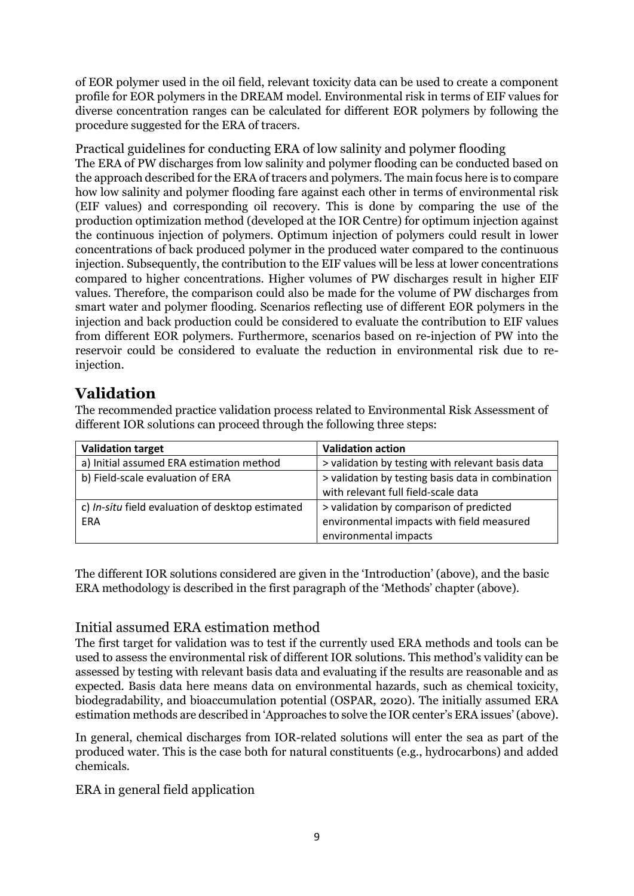of EOR polymer used in the oil field, relevant toxicity data can be used to create a component profile for EOR polymers in the DREAM model. Environmental risk in terms of EIF values for diverse concentration ranges can be calculated for different EOR polymers by following the procedure suggested for the ERA of tracers.

Practical guidelines for conducting ERA of low salinity and polymer flooding The ERA of PW discharges from low salinity and polymer flooding can be conducted based on the approach described for the ERA of tracers and polymers. The main focus here is to compare how low salinity and polymer flooding fare against each other in terms of environmental risk (EIF values) and corresponding oil recovery. This is done by comparing the use of the production optimization method (developed at the IOR Centre) for optimum injection against the continuous injection of polymers. Optimum injection of polymers could result in lower concentrations of back produced polymer in the produced water compared to the continuous injection. Subsequently, the contribution to the EIF values will be less at lower concentrations compared to higher concentrations. Higher volumes of PW discharges result in higher EIF values. Therefore, the comparison could also be made for the volume of PW discharges from smart water and polymer flooding. Scenarios reflecting use of different EOR polymers in the injection and back production could be considered to evaluate the contribution to EIF values from different EOR polymers. Furthermore, scenarios based on re-injection of PW into the reservoir could be considered to evaluate the reduction in environmental risk due to reinjection.

## **Validation**

The recommended practice validation process related to Environmental Risk Assessment of different IOR solutions can proceed through the following three steps:

| <b>Validation target</b>                         | <b>Validation action</b>                          |
|--------------------------------------------------|---------------------------------------------------|
| a) Initial assumed ERA estimation method         | > validation by testing with relevant basis data  |
| b) Field-scale evaluation of ERA                 | > validation by testing basis data in combination |
|                                                  | with relevant full field-scale data               |
| c) In-situ field evaluation of desktop estimated | > validation by comparison of predicted           |
| ERA                                              | environmental impacts with field measured         |
|                                                  | environmental impacts                             |

The different IOR solutions considered are given in the 'Introduction' (above), and the basic ERA methodology is described in the first paragraph of the 'Methods' chapter (above).

#### Initial assumed ERA estimation method

The first target for validation was to test if the currently used ERA methods and tools can be used to assess the environmental risk of different IOR solutions. This method's validity can be assessed by testing with relevant basis data and evaluating if the results are reasonable and as expected. Basis data here means data on environmental hazards, such as chemical toxicity, biodegradability, and bioaccumulation potential (OSPAR, 2020). The initially assumed ERA estimation methods are described in 'Approaches to solve the IOR center's ERA issues' (above).

In general, chemical discharges from IOR-related solutions will enter the sea as part of the produced water. This is the case both for natural constituents (e.g., hydrocarbons) and added chemicals.

#### ERA in general field application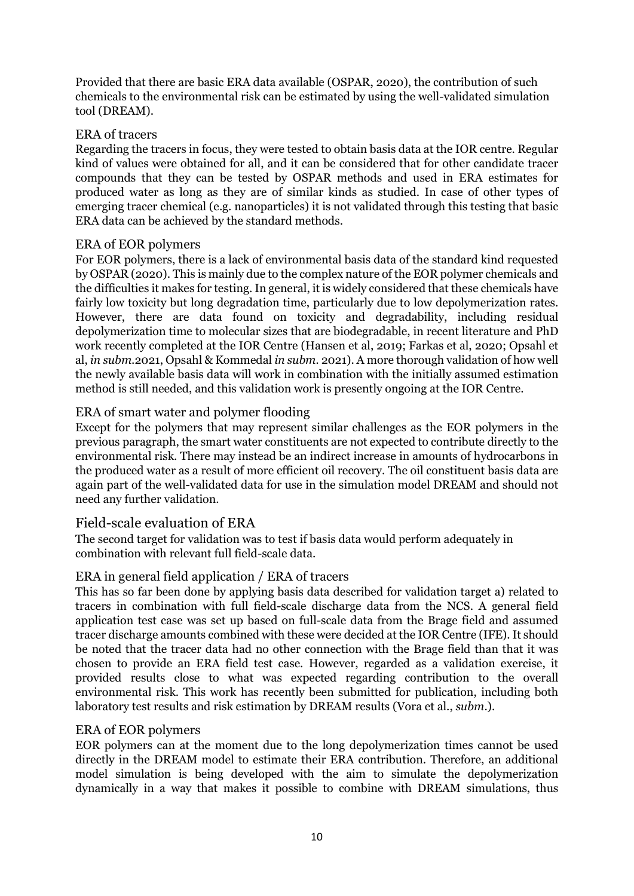Provided that there are basic ERA data available (OSPAR, 2020), the contribution of such chemicals to the environmental risk can be estimated by using the well-validated simulation tool (DREAM).

#### ERA of tracers

Regarding the tracers in focus, they were tested to obtain basis data at the IOR centre. Regular kind of values were obtained for all, and it can be considered that for other candidate tracer compounds that they can be tested by OSPAR methods and used in ERA estimates for produced water as long as they are of similar kinds as studied. In case of other types of emerging tracer chemical (e.g. nanoparticles) it is not validated through this testing that basic ERA data can be achieved by the standard methods.

#### ERA of EOR polymers

For EOR polymers, there is a lack of environmental basis data of the standard kind requested by OSPAR (2020). This is mainly due to the complex nature of the EOR polymer chemicals and the difficulties it makes for testing. In general, it is widely considered that these chemicals have fairly low toxicity but long degradation time, particularly due to low depolymerization rates. However, there are data found on toxicity and degradability, including residual depolymerization time to molecular sizes that are biodegradable, in recent literature and PhD work recently completed at the IOR Centre (Hansen et al, 2019; Farkas et al, 2020; Opsahl et al, *in subm*.2021, Opsahl & Kommedal *in subm.* 2021). A more thorough validation of how well the newly available basis data will work in combination with the initially assumed estimation method is still needed, and this validation work is presently ongoing at the IOR Centre.

#### ERA of smart water and polymer flooding

Except for the polymers that may represent similar challenges as the EOR polymers in the previous paragraph, the smart water constituents are not expected to contribute directly to the environmental risk. There may instead be an indirect increase in amounts of hydrocarbons in the produced water as a result of more efficient oil recovery. The oil constituent basis data are again part of the well-validated data for use in the simulation model DREAM and should not need any further validation.

#### Field-scale evaluation of ERA

The second target for validation was to test if basis data would perform adequately in combination with relevant full field-scale data.

#### ERA in general field application / ERA of tracers

This has so far been done by applying basis data described for validation target a) related to tracers in combination with full field-scale discharge data from the NCS. A general field application test case was set up based on full-scale data from the Brage field and assumed tracer discharge amounts combined with these were decided at the IOR Centre (IFE). It should be noted that the tracer data had no other connection with the Brage field than that it was chosen to provide an ERA field test case. However, regarded as a validation exercise, it provided results close to what was expected regarding contribution to the overall environmental risk. This work has recently been submitted for publication, including both laboratory test results and risk estimation by DREAM results (Vora et al., *subm*.).

#### ERA of EOR polymers

EOR polymers can at the moment due to the long depolymerization times cannot be used directly in the DREAM model to estimate their ERA contribution. Therefore, an additional model simulation is being developed with the aim to simulate the depolymerization dynamically in a way that makes it possible to combine with DREAM simulations, thus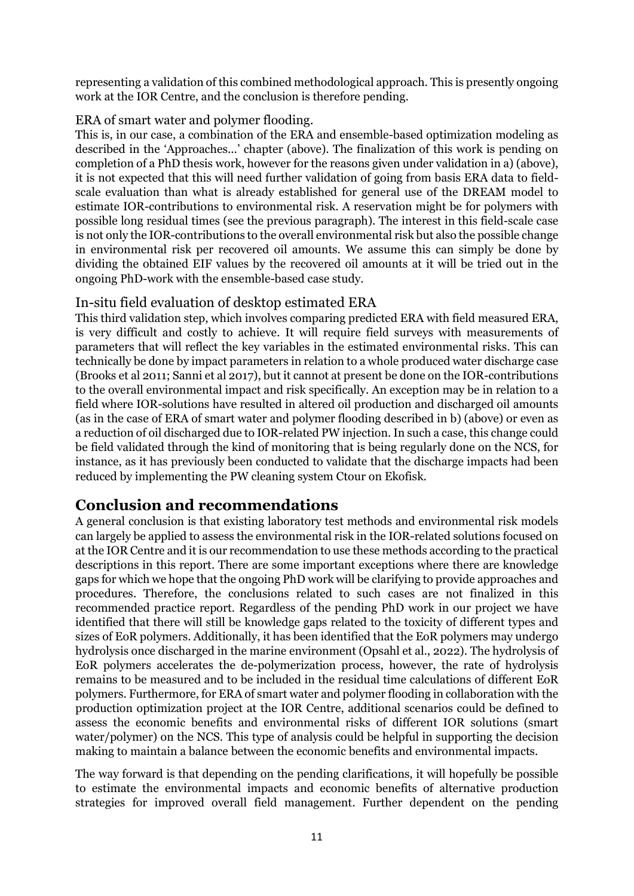representing a validation of this combined methodological approach. This is presently ongoing work at the IOR Centre, and the conclusion is therefore pending.

#### ERA of smart water and polymer flooding.

This is, in our case, a combination of the ERA and ensemble-based optimization modeling as described in the 'Approaches...' chapter (above). The finalization of this work is pending on completion of a PhD thesis work, however for the reasons given under validation in a) (above), it is not expected that this will need further validation of going from basis ERA data to fieldscale evaluation than what is already established for general use of the DREAM model to estimate IOR-contributions to environmental risk. A reservation might be for polymers with possible long residual times (see the previous paragraph). The interest in this field-scale case is not only the IOR-contributions to the overall environmental risk but also the possible change in environmental risk per recovered oil amounts. We assume this can simply be done by dividing the obtained EIF values by the recovered oil amounts at it will be tried out in the ongoing PhD-work with the ensemble-based case study.

#### In-situ field evaluation of desktop estimated ERA

This third validation step, which involves comparing predicted ERA with field measured ERA, is very difficult and costly to achieve. It will require field surveys with measurements of parameters that will reflect the key variables in the estimated environmental risks. This can technically be done by impact parameters in relation to a whole produced water discharge case (Brooks et al 2011; Sanni et al 2017), but it cannot at present be done on the IOR-contributions to the overall environmental impact and risk specifically. An exception may be in relation to a field where IOR-solutions have resulted in altered oil production and discharged oil amounts (as in the case of ERA of smart water and polymer flooding described in b) (above) or even as a reduction of oil discharged due to IOR-related PW injection. In such a case, this change could be field validated through the kind of monitoring that is being regularly done on the NCS, for instance, as it has previously been conducted to validate that the discharge impacts had been reduced by implementing the PW cleaning system Ctour on Ekofisk.

### **Conclusion and recommendations**

A general conclusion is that existing laboratory test methods and environmental risk models can largely be applied to assess the environmental risk in the IOR-related solutions focused on at the IOR Centre and it is our recommendation to use these methods according to the practical descriptions in this report. There are some important exceptions where there are knowledge gaps for which we hope that the ongoing PhD work will be clarifying to provide approaches and procedures. Therefore, the conclusions related to such cases are not finalized in this recommended practice report. Regardless of the pending PhD work in our project we have identified that there will still be knowledge gaps related to the toxicity of different types and sizes of EoR polymers. Additionally, it has been identified that the EoR polymers may undergo hydrolysis once discharged in the marine environment (Opsahl et al., 2022). The hydrolysis of EoR polymers accelerates the de-polymerization process, however, the rate of hydrolysis remains to be measured and to be included in the residual time calculations of different EoR polymers. Furthermore, for ERA of smart water and polymer flooding in collaboration with the production optimization project at the IOR Centre, additional scenarios could be defined to assess the economic benefits and environmental risks of different IOR solutions (smart water/polymer) on the NCS. This type of analysis could be helpful in supporting the decision making to maintain a balance between the economic benefits and environmental impacts.

The way forward is that depending on the pending clarifications, it will hopefully be possible to estimate the environmental impacts and economic benefits of alternative production strategies for improved overall field management. Further dependent on the pending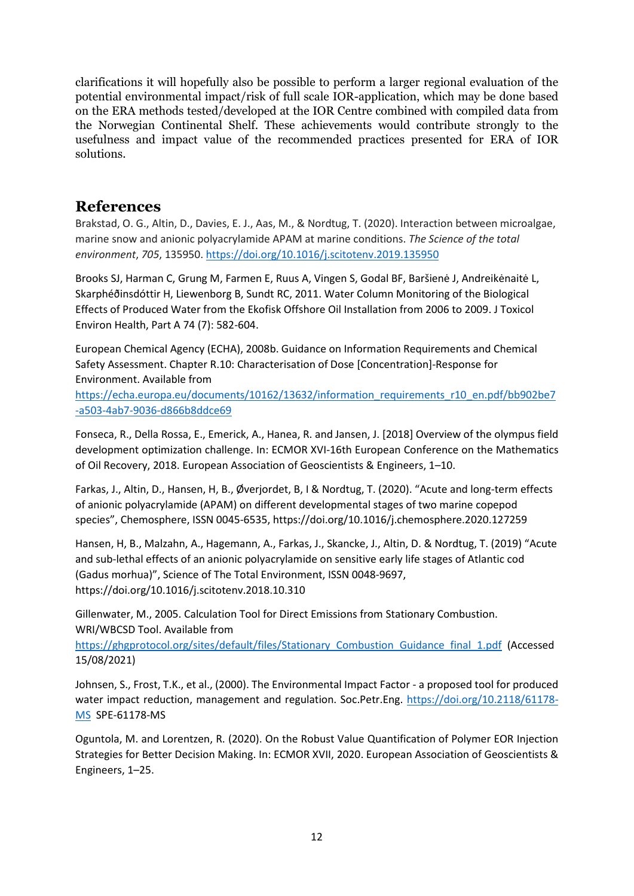clarifications it will hopefully also be possible to perform a larger regional evaluation of the potential environmental impact/risk of full scale IOR-application, which may be done based on the ERA methods tested/developed at the IOR Centre combined with compiled data from the Norwegian Continental Shelf. These achievements would contribute strongly to the usefulness and impact value of the recommended practices presented for ERA of IOR solutions.

#### **References**

Brakstad, O. G., Altin, D., Davies, E. J., Aas, M., & Nordtug, T. (2020). Interaction between microalgae, marine snow and anionic polyacrylamide APAM at marine conditions. *The Science of the total environment*, *705*, 135950[. https://doi.org/10.1016/j.scitotenv.2019.135950](https://doi.org/10.1016/j.scitotenv.2019.135950) 

Brooks SJ, Harman C, Grung M, Farmen E, Ruus A, Vingen S, Godal BF, Baršienė J, Andreikėnaitė L, Skarphéðinsdóttir H, Liewenborg B, Sundt RC, 2011. Water Column Monitoring of the Biological Effects of Produced Water from the Ekofisk Offshore Oil Installation from 2006 to 2009. J Toxicol Environ Health, Part A 74 (7): 582-604.

European Chemical Agency (ECHA), 2008b. Guidance on Information Requirements and Chemical Safety Assessment. Chapter R.10: Characterisation of Dose [Concentration]-Response for Environment. Available from

[https://echa.europa.eu/documents/10162/13632/information\\_requirements\\_r10\\_en.pdf/bb902be7](https://echa.europa.eu/documents/10162/13632/information_requirements_r10_en.pdf/bb902be7-a503-4ab7-9036-d866b8ddce69) [-a503-4ab7-9036-d866b8ddce69](https://echa.europa.eu/documents/10162/13632/information_requirements_r10_en.pdf/bb902be7-a503-4ab7-9036-d866b8ddce69)

Fonseca, R., Della Rossa, E., Emerick, A., Hanea, R. and Jansen, J. [2018] Overview of the olympus field development optimization challenge. In: ECMOR XVI-16th European Conference on the Mathematics of Oil Recovery, 2018. European Association of Geoscientists & Engineers, 1–10.

Farkas, J., Altin, D., Hansen, H, B., Øverjordet, B, I & Nordtug, T. (2020). "Acute and long-term effects of anionic polyacrylamide (APAM) on different developmental stages of two marine copepod species", Chemosphere, ISSN 0045-6535, https://doi.org/10.1016/j.chemosphere.2020.127259

Hansen, H, B., Malzahn, A., Hagemann, A., Farkas, J., Skancke, J., Altin, D. & Nordtug, T. (2019) "Acute and sub-lethal effects of an anionic polyacrylamide on sensitive early life stages of Atlantic cod (Gadus morhua)", Science of The Total Environment, ISSN 0048-9697, https://doi.org/10.1016/j.scitotenv.2018.10.310

Gillenwater, M., 2005. Calculation Tool for Direct Emissions from Stationary Combustion. WRI/WBCSD Tool. Available from

[https://ghgprotocol.org/sites/default/files/Stationary\\_Combustion\\_Guidance\\_final\\_1.pdf](https://ghgprotocol.org/sites/default/files/Stationary_Combustion_Guidance_final_1.pdf) (Accessed 15/08/2021)

Johnsen, S., Frost, T.K., et al., (2000). The Environmental Impact Factor - a proposed tool for produced water impact reduction, management and regulation. Soc.Petr.Eng. [https://doi.org/10.2118/61178-](https://doi.org/10.2118/61178-MS) [MS](https://doi.org/10.2118/61178-MS) SPE-61178-MS

Oguntola, M. and Lorentzen, R. (2020). On the Robust Value Quantification of Polymer EOR Injection Strategies for Better Decision Making. In: ECMOR XVII, 2020. European Association of Geoscientists & Engineers, 1–25.